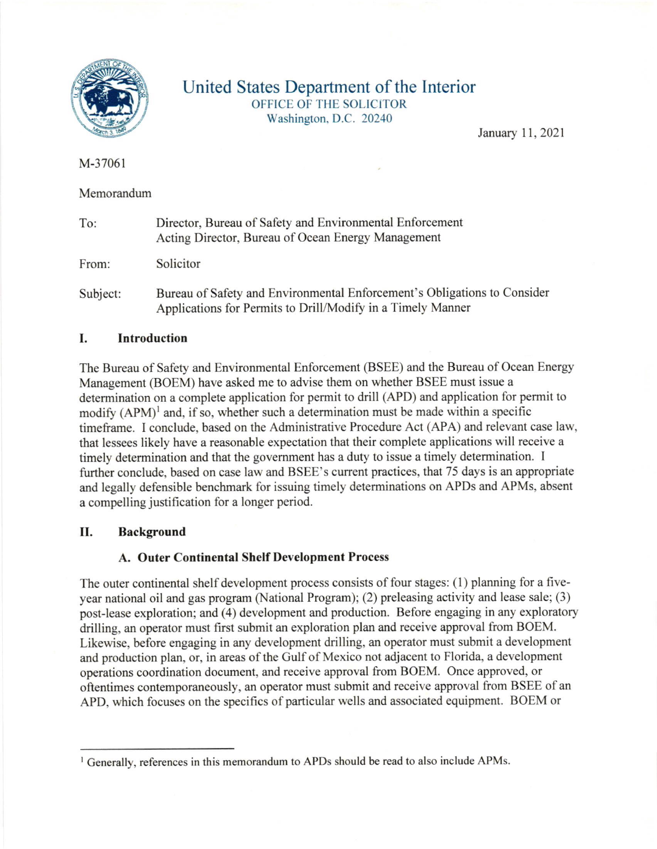

## United States Department of the Interior OFFICE OF THE SOLICITOR Washington. D.C. 20240

January 11, 2021

M-37061

Memorandum

| To:      | Director, Bureau of Safety and Environmental Enforcement<br>Acting Director, Bureau of Ocean Energy Management                          |
|----------|-----------------------------------------------------------------------------------------------------------------------------------------|
| From:    | Solicitor                                                                                                                               |
| Subject: | Bureau of Safety and Environmental Enforcement's Obligations to Consider<br>Applications for Permits to Drill/Modify in a Timely Manner |

## I. Introduction

The Bureau of Safety and Environmental Enforcement (BSEE) and the Bureau of Ocean Energy Management (BOEM) have asked me to advise them on whether BSEE must issue a determination on a complete application for permit to drill (APD) and application for permit to modify  $(APM)^1$  and, if so, whether such a determination must be made within a specific timeframe. I conclude, based on the Administrative Procedure Act (APA) and relevant case law, that lessees likely have a reasonable expectation that their complete applications will receive a timely determination and that the govemment has a duty to issue a timely determination. I further conclude, based on case law and BSEE's current practices, that 75 days is an appropriate and legally defensible benchmark for issuing timely determinations on APDs and APMs, absent <sup>a</sup>compelling justification for a longer period.

## II. Background

## A. Outer Continental Shelf Development Process

The outer continental shelf development process consists of four stages: (1) planning for a fiveyear national oil and gas program (National Program); (2) preleasing activity and lease sale; (3) post-lease exploration; and (4) development and production. Before engaging in any exploratory drilling, an operator must first submit an exploration plan and receive approval from BOEM. Likewise, before engaging in any development drilling, an operator must submit a development and production plan, or, in areas of the Gulf of Mexico not adjacent to Florida, a development operations coordination document, and receive approval from BOEM. Once approved, or oftentimes contemporaneously, an operator must submit and receive approval from BSEE of an APD, which focuses on the specifics of particular wells and associated equipment. BOEM or

 $\frac{1}{2}$  Generally, references in this memorandum to APDs should be read to also include APMs.